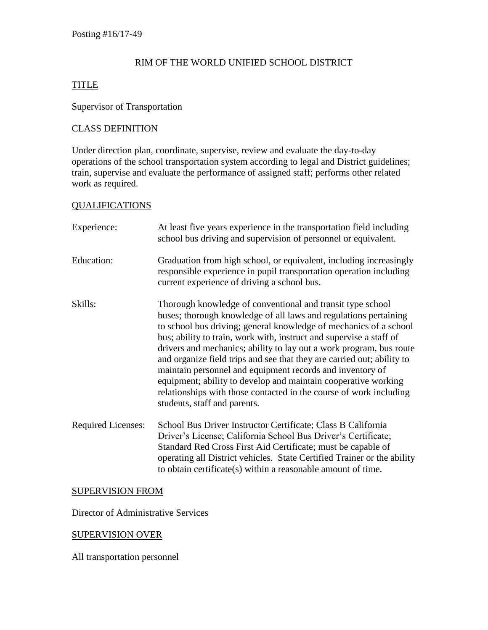# RIM OF THE WORLD UNIFIED SCHOOL DISTRICT

## TITLE

# Supervisor of Transportation

#### CLASS DEFINITION

Under direction plan, coordinate, supervise, review and evaluate the day-to-day operations of the school transportation system according to legal and District guidelines; train, supervise and evaluate the performance of assigned staff; performs other related work as required.

#### QUALIFICATIONS

| Experience:               | At least five years experience in the transportation field including<br>school bus driving and supervision of personnel or equivalent.                                                                                                                                                                                                                                                                                                                                                                                                                                                                                                                           |
|---------------------------|------------------------------------------------------------------------------------------------------------------------------------------------------------------------------------------------------------------------------------------------------------------------------------------------------------------------------------------------------------------------------------------------------------------------------------------------------------------------------------------------------------------------------------------------------------------------------------------------------------------------------------------------------------------|
| Education:                | Graduation from high school, or equivalent, including increasingly<br>responsible experience in pupil transportation operation including<br>current experience of driving a school bus.                                                                                                                                                                                                                                                                                                                                                                                                                                                                          |
| Skills:                   | Thorough knowledge of conventional and transit type school<br>buses; thorough knowledge of all laws and regulations pertaining<br>to school bus driving; general knowledge of mechanics of a school<br>bus; ability to train, work with, instruct and supervise a staff of<br>drivers and mechanics; ability to lay out a work program, bus route<br>and organize field trips and see that they are carried out; ability to<br>maintain personnel and equipment records and inventory of<br>equipment; ability to develop and maintain cooperative working<br>relationships with those contacted in the course of work including<br>students, staff and parents. |
| <b>Required Licenses:</b> | School Bus Driver Instructor Certificate; Class B California<br>Driver's License; California School Bus Driver's Certificate;<br>Standard Red Cross First Aid Certificate; must be capable of<br>operating all District vehicles. State Certified Trainer or the ability<br>to obtain certificate(s) within a reasonable amount of time.                                                                                                                                                                                                                                                                                                                         |

#### SUPERVISION FROM

Director of Administrative Services

# SUPERVISION OVER

All transportation personnel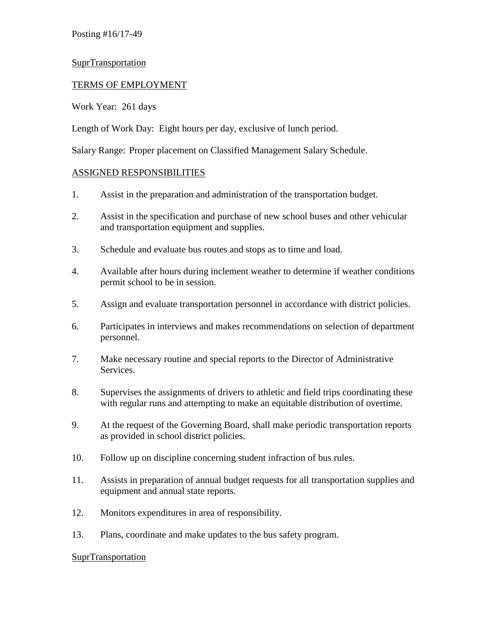Posting #16/17-49

## SuprTransportation

# TERMS OF EMPLOYMENT

Work Year: 261 days

Length of Work Day: Eight hours per day, exclusive of lunch period.

Salary Range: Proper placement on Classified Management Salary Schedule.

## ASSIGNED RESPONSIBILITIES

- 1. Assist in the preparation and administration of the transportation budget.
- 2. Assist in the specification and purchase of new school buses and other vehicular and transportation equipment and supplies.
- 3. Schedule and evaluate bus routes and stops as to time and load.
- 4. Available after hours during inclement weather to determine if weather conditions permit school to be in session.
- 5. Assign and evaluate transportation personnel in accordance with district policies.
- 6. Participates in interviews and makes recommendations on selection of department personnel.
- 7. Make necessary routine and special reports to the Director of Administrative Services.
- 8. Supervises the assignments of drivers to athletic and field trips coordinating these with regular runs and attempting to make an equitable distribution of overtime.
- 9. At the request of the Governing Board, shall make periodic transportation reports as provided in school district policies.
- 10. Follow up on discipline concerning student infraction of bus rules.
- 11. Assists in preparation of annual budget requests for all transportation supplies and equipment and annual state reports.
- 12. Monitors expenditures in area of responsibility.
- 13. Plans, coordinate and make updates to the bus safety program.

#### **SuprTransportation**